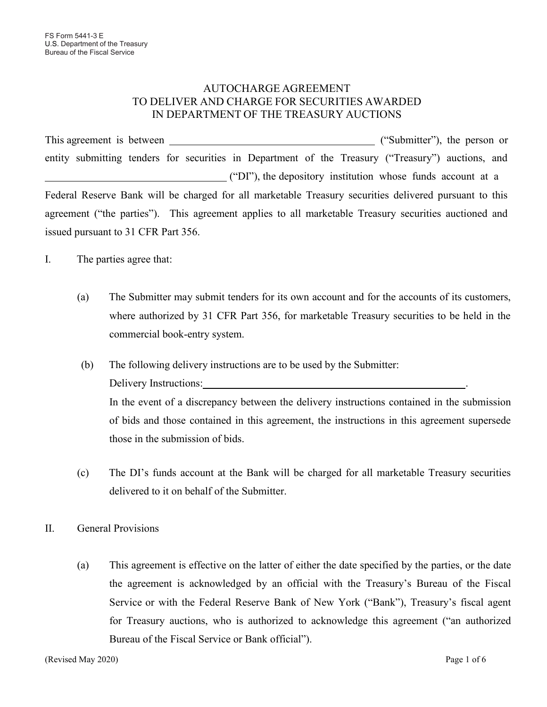## AUTOCHARGE AGREEMENT TO DELIVER AND CHARGE FOR SECURITIES AWARDED IN DEPARTMENT OF THE TREASURY AUCTIONS

This agreement is between ("Submitter"), the person or entity submitting tenders for securities in Department of the Treasury ("Treasury") auctions, and ("DI"), the depository institution whose funds account at a Federal Reserve Bank will be charged for all marketable Treasury securities delivered pursuant to this agreement ("the parties"). This agreement applies to all marketable Treasury securities auctioned and issued pursuant to 31 CFR Part 356.

- I. The parties agree that:
	- (a) The Submitter may submit tenders for its own account and for the accounts of its customers, where authorized by 31 CFR Part 356, for marketable Treasury securities to be held in the commercial book-entry system.
	- (b) The following delivery instructions are to be used by the Submitter: Delivery Instructions: In the event of a discrepancy between the delivery instructions contained in the submission of bids and those contained in this agreement, the instructions in this agreement supersede those in the submission of bids.
	- (c) The DI's funds account at the Bank will be charged for all marketable Treasury securities delivered to it on behalf of the Submitter.
- II. General Provisions
	- (a) This agreement is effective on the latter of either the date specified by the parties, or the date the agreement is acknowledged by an official with the Treasury's Bureau of the Fiscal Service or with the Federal Reserve Bank of New York ("Bank"), Treasury's fiscal agent for Treasury auctions, who is authorized to acknowledge this agreement ("an authorized Bureau of the Fiscal Service or Bank official").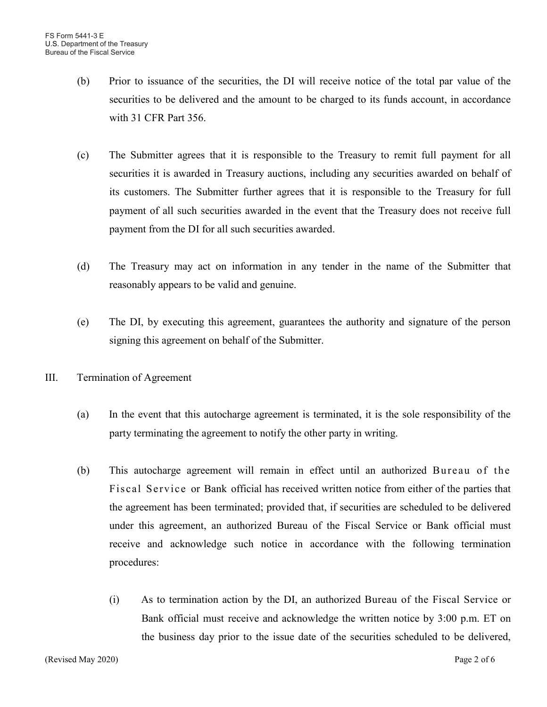- (b) Prior to issuance of the securities, the DI will receive notice of the total par value of the securities to be delivered and the amount to be charged to its funds account, in accordance with 31 CFR Part 356.
- (c) The Submitter agrees that it is responsible to the Treasury to remit full payment for all securities it is awarded in Treasury auctions, including any securities awarded on behalf of its customers. The Submitter further agrees that it is responsible to the Treasury for full payment of all such securities awarded in the event that the Treasury does not receive full payment from the DI for all such securities awarded.
- (d) The Treasury may act on information in any tender in the name of the Submitter that reasonably appears to be valid and genuine.
- (e) The DI, by executing this agreement, guarantees the authority and signature of the person signing this agreement on behalf of the Submitter.
- III. Termination of Agreement
	- (a) In the event that this autocharge agreement is terminated, it is the sole responsibility of the party terminating the agreement to notify the other party in writing.
	- (b) This autocharge agreement will remain in effect until an authorized Bureau of the Fiscal Service or Bank official has received written notice from either of the parties that the agreement has been terminated; provided that, if securities are scheduled to be delivered under this agreement, an authorized Bureau of the Fiscal Service or Bank official must receive and acknowledge such notice in accordance with the following termination procedures:
		- (i) As to termination action by the DI, an authorized Bureau of the Fiscal Service or Bank official must receive and acknowledge the written notice by 3:00 p.m. ET on the business day prior to the issue date of the securities scheduled to be delivered,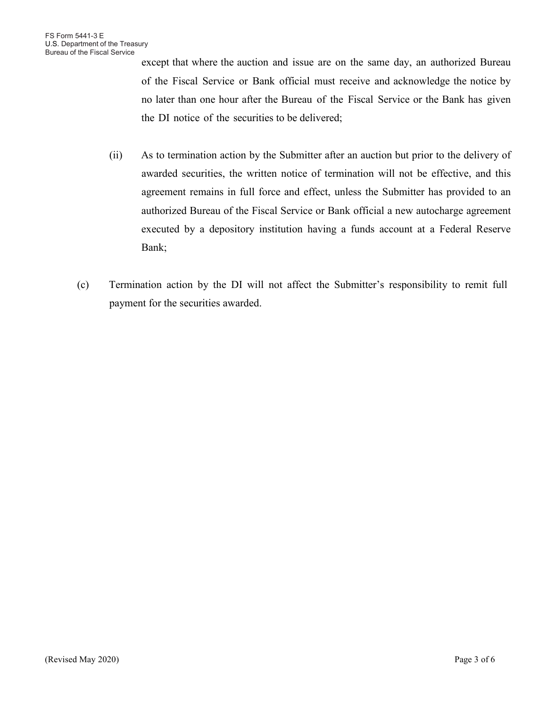except that where the auction and issue are on the same day, an authorized Bureau of the Fiscal Service or Bank official must receive and acknowledge the notice by no later than one hour after the Bureau of the Fiscal Service or the Bank has given the DI notice of the securities to be delivered;

- (ii) As to termination action by the Submitter after an auction but prior to the delivery of awarded securities, the written notice of termination will not be effective, and this agreement remains in full force and effect, unless the Submitter has provided to an authorized Bureau of the Fiscal Service or Bank official a new autocharge agreement executed by a depository institution having a funds account at a Federal Reserve Bank;
- (c) Termination action by the DI will not affect the Submitter's responsibility to remit full payment for the securities awarded.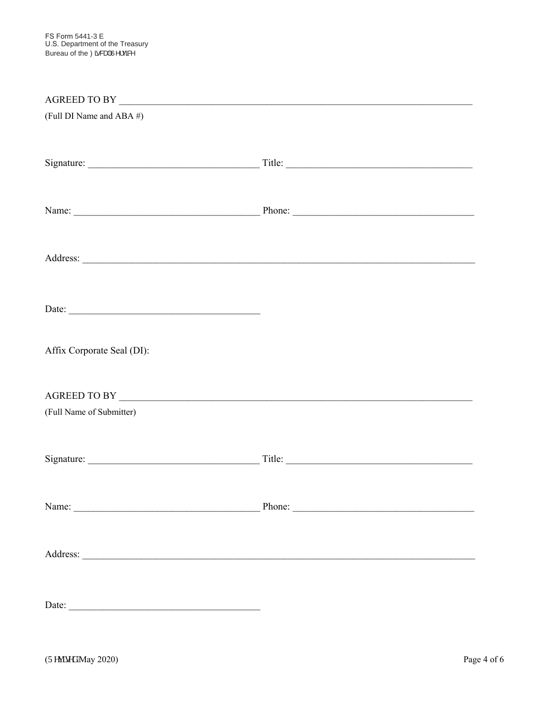(Full DI Name and ABA #)

| Name: Phone: Phone: Phone: Phone: Phone: Phone: Phone: Phone: Phone: Phone: Phone: Phone: Phone: Phone: Phone: Phone: Phone: Phone: Phone: Phone: Phone: Phone: Phone: Phone: Phone: Phone: Phone: Phone: Phone: Phone: Phone: |  |
|--------------------------------------------------------------------------------------------------------------------------------------------------------------------------------------------------------------------------------|--|
|                                                                                                                                                                                                                                |  |
|                                                                                                                                                                                                                                |  |
| Affix Corporate Seal (DI):                                                                                                                                                                                                     |  |
| (Full Name of Submitter)                                                                                                                                                                                                       |  |
|                                                                                                                                                                                                                                |  |
| Name: Phone: Phone: Phone: Phone: Phone: Phone: Phone: Phone: Phone: Phone: Phone: Phone: Phone: Phone: Phone: Phone: Phone: Phone: Phone: Phone: Phone: Phone: Phone: Phone: Phone: Phone: Phone: Phone: Phone: Phone: Phone: |  |
|                                                                                                                                                                                                                                |  |
| Date:                                                                                                                                                                                                                          |  |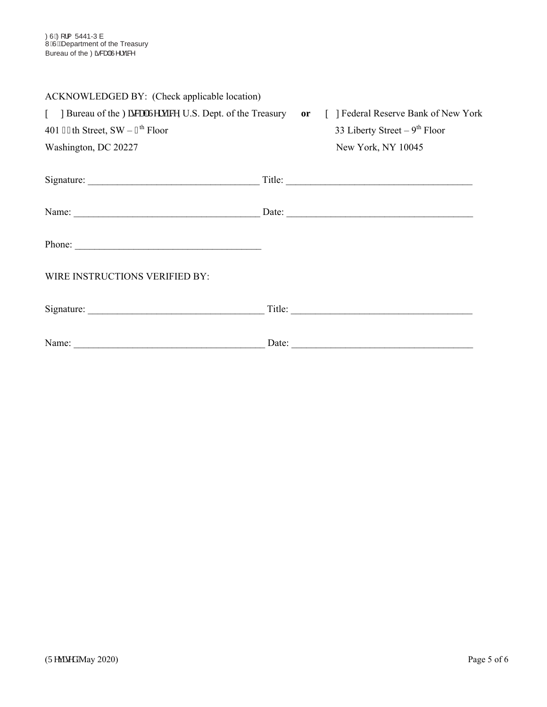| ACKNOWLEDGED BY: (Check applicable location)                                                        |                                    |
|-----------------------------------------------------------------------------------------------------|------------------------------------|
| [ ] Bureau of the Huecn'Ugtxleg, U.S. Dept. of the Treasury or [ ] Federal Reserve Bank of New York |                                    |
| 401 36th Street, $SW - 7th$ Floor                                                                   | 33 Liberty Street – $9^{th}$ Floor |
| Washington, DC 20227                                                                                | New York, NY 10045                 |
|                                                                                                     | $\overline{\phantom{a}}$ Title:    |
|                                                                                                     | Date: $\qquad \qquad$              |
| Phone:                                                                                              |                                    |
| WIRE INSTRUCTIONS VERIFIED BY:                                                                      |                                    |
|                                                                                                     |                                    |
|                                                                                                     |                                    |